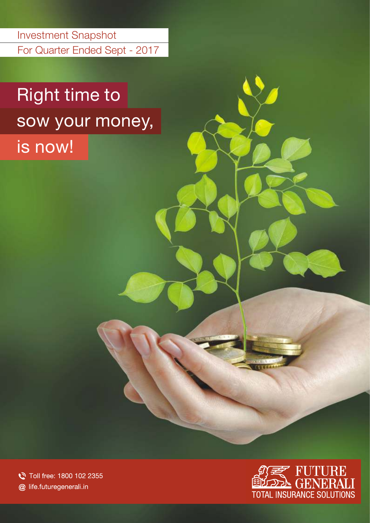For Quarter Ended Sept - 2017 Investment Snapshot

# Right time to sow your money,

is now!

Toll free: 1800 102 2355 @ life.futuregenerali.in

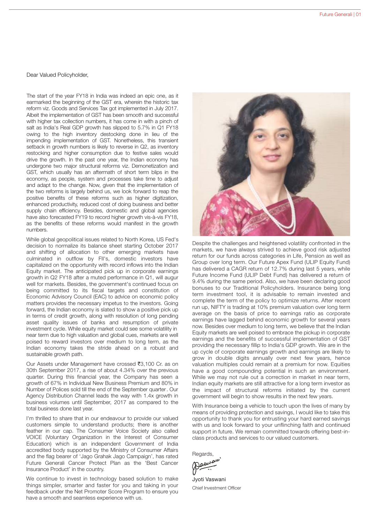Dear Valued Policyholder,

The start of the year FY18 in India was indeed an epic one, as it earmarked the beginning of the GST era, wherein the historic tax reform viz. Goods and Services Tax got implemented in July 2017. Albeit the implementation of GST has been smooth and successful with higher tax collection numbers, it has come in with a pinch of salt as India's Real GDP growth has slipped to 5.7% in Q1 FY18 owing to the high inventory destocking done in lieu of the impending implementation of GST. Nonetheless, this transient setback in growth numbers is likely to reverse in Q2, as inventory restocking and higher consumption due to festive sales would drive the growth. In the past one year, the Indian economy has undergone two major structural reforms viz. Demonetization and GST, which usually has an aftermath of short term blips in the economy, as people, system and processes take time to adjust and adapt to the change. Now, given that the implementation of the two reforms is largely behind us, we look forward to reap the positive benefits of these reforms such as higher digitization, enhanced productivity, reduced cost of doing business and better supply chain efficiency. Besides, domestic and global agencies have also forecasted FY19 to record higher growth vis-à-vis FY18, as the benefits of these reforms would manifest in the growth numbers.

While global geopolitical issues related to North Korea, US Fed's decision to normalize its balance sheet starting October 2017 and shifting of allocation to other emerging markets have culminated in outflow by FII's, domestic investors have capitalized on the opportunity with record inflows into the Indian Equity market. The anticipated pick up in corporate earnings growth in Q2 FY18 after a muted performance in Q1, will augur well for markets. Besides, the government's continued focus on being committed to its fiscal targets and constitution of Economic Advisory Council (EAC) to advice on economic policy matters provides the necessary impetus to the investors. Going forward, the Indian economy is slated to show a positive pick up in terms of credit growth, along with resolution of long pending asset quality issues of banks and resumption of private investment cycle. While equity market could see some volatility in near term due to high valuation and global cues, markets are well poised to reward investors over medium to long term, as the Indian economy takes the stride ahead on a robust and sustainable growth path.

Our Assets under Management have crossed ₹3,100 Cr. as on 30th September 2017, a rise of about 4.34% over the previous quarter. During this financial year, the Company has seen a growth of 67% in Individual New Business Premium and 80% in Number of Polices sold till the end of the September quarter. Our Agency Distribution Channel leads the way with 1.4x growth in business volumes until September, 2017 as compared to the total business done last year.

I'm thrilled to share that in our endeavour to provide our valued customers simple to understand products; there is another feather in our cap. The Consumer Voice Society also called VOICE (Voluntary Organization in the Interest of Consumer Education) which is an independent Government of India accredited body supported by the Ministry of Consumer Affairs and the flag bearer of 'Jago Grahak Jago Campaign', has rated Future Generali Cancer Protect Plan as the 'Best Cancer Insurance Product' in the country.

We continue to invest in technology based solution to make things simpler, smarter and faster for you and taking in your feedback under the Net Promoter Score Program to ensure you have a smooth and seamless experience with us.



Despite the challenges and heightened volatility confronted in the markets, we have always strived to achieve good risk adjusted return for our funds across categories in Life, Pension as well as Group over long term. Our Future Apex Fund (ULIP Equity Fund) has delivered a CAGR return of 12.7% during last 5 years, while Future Income Fund (ULIP Debt Fund) has delivered a return of 9.4% during the same period. Also, we have been declaring good bonuses to our Traditional Policyholders. Insurance being long term investment tool, it is advisable to remain invested and complete the term of the policy to optimize returns. After recent run up, NIFTY is trading at 10% premium valuation over long term average on the basis of price to earnings ratio as corporate earnings have lagged behind economic growth for several years now. Besides over medium to long term, we believe that the Indian Equity markets are well poised to embrace the pickup in corporate earnings and the benefits of successful implementation of GST providing the necessary fillip to India's GDP growth. We are in the up cycle of corporate earnings growth and earnings are likely to grow in double digits annually over next few years, hence valuation multiples could remain at a premium for now. Equities have a good compounding potential in such an environment. While we may not rule out a correction in market in near term, Indian equity markets are still attractive for a long term investor as the impact of structural reforms initiated by the current government will begin to show results in the next few years.

With Insurance being a vehicle to touch upon the lives of many by means of providing protection and savings, I would like to take this opportunity to thank you for entrusting your hard earned savings with us and look forward to your unflinching faith and continued support in future. We remain committed towards offering best-inclass products and services to our valued customers.

Regards,<br>(Daw<sup>au'</sup>

Jyoti Vaswani Chief Investment Officer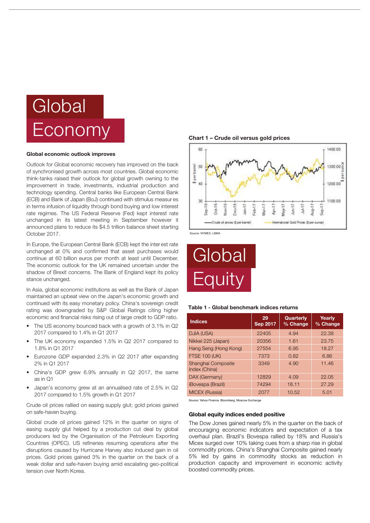# Global Economy

#### Global economic outlook improves

Outlook for Global economic recovery has improved on the back of synchronised growth across most countries. Global economic think-tanks raised their outlook for global growth owning to the improvement in trade, investments, industrial production and technology spending. Central banks like European Central Bank (ECB) and Bank of Japan (BoJ) continued with stimulus measur es in terms infusion of liquidity through bond buying and low interest rate regimes. The US Federal Reserve (Fed) kept interest rate unchanged in its latest meeting in September however it announced plans to reduce its \$4.5 trillion balance sheet starting October 2017.

In Europe, the European Central Bank (ECB) kept the inter est rate unchanged at 0% and confirmed that asset purchases would continue at 60 billion euros per month at least until December. The economic outlook for the UK remained uncertain under the shadow of Brexit concerns. The Bank of England kept its policy stance unchanged.

In Asia, global economic institutions as well as the Bank of Japan maintained an upbeat view on the Japan's economic growth and continued with its easy monetary policy. China's sovereign credit rating was downgraded by S&P Global Ratings citing higher economic and financial risks rising out of large credit to GDP ratio.

- The US economy bounced back with a growth of 3.1% in Q2 2017 compared to 1.4% in Q1 2017
- The UK economy expanded 1.5% in Q2 2017 compared to 1.8% in Q1 2017
- Eurozone GDP expanded 2.3% in Q2 2017 after expanding 2% in Q1 2017
- China's GDP grew 6.9% annually in Q2 2017, the same as in  $\bigcap$ 1
- Japan's economy grew at an annualised rate of 2.5% in Q2 2017 compared to 1.5% growth in Q1 2017

Crude oil prices rallied on easing supply glut; gold prices gained on safe-haven buying.

Global crude oil prices gained 12% in the quarter on signs of easing supply glut helped by a production cut deal by global producers led by the Organisation of the Petroleum Exporting Countries (OPEC). US refineries resuming operations after the disruptions caused by Hurricane Harvey also induced gain in oil prices. Gold prices gained 3% in the quarter on the back of a weak dollar and safe-haven buying amid escalating geo-political tension over North Korea.

Chart 1 – Crude oil versus gold prices



Source: NYMEX, LBMA



#### Table 1 - Global benchmark indices returns

| <b>Indices</b>                      | 29<br><b>Sep 2017</b> | <b>Quarterly</b><br>% Change | Yearly<br>% Change |
|-------------------------------------|-----------------------|------------------------------|--------------------|
| DJIA (USA)                          | 22405                 | 4.94                         | 22.38              |
| Nikkei 225 (Japan)                  | 20356                 | 1.61                         | 23.75              |
| Hang Seng (Hong Kong)               | 27554                 | 6.95                         | 18.27              |
| <b>FTSE 100 (UK)</b>                | 7373                  | 0.82                         | 6.86               |
| Shanghai Composite<br>Index (China) | 3349                  | 4.90                         | 11.46              |
| DAX (Germany)                       | 12829                 | 4.09                         | 22.05              |
| <i><b>iBovespa (Brazil)</b></i>     | 74294                 | 18.11                        | 27.29              |
| <b>MICEX (Russia)</b>               | 2077                  | 10.52                        | 5.01               |

Source: Yahoo Finance, Bloomberg, Moscow Exchange

#### Global equity indices ended positive

The Dow Jones gained nearly 5% in the quarter on the back of encouraging economic indicators and expectation of a tax overhaul plan. Brazil's Bovespa rallied by 18% and Russia's Micex surged over 10% taking cues from a sharp rise in global commodity prices. China's Shanghai Composite gained nearly 5% led by gains in commodity stocks as reduction in production capacity and improvement in economic activity boosted commodity prices.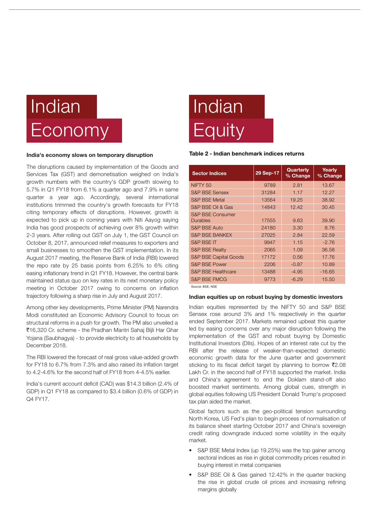## Indian Economy

#### India's economy slows on temporary disruption

The disruptions caused by implementation of the Goods and Services Tax (GST) and demonetisation weighed on India's growth numbers with the country's GDP growth slowing to 5.7% in Q1 FY18 from 6.1% a quarter ago and 7.9% in same quarter a year ago. Accordingly, several international institutions trimmed the country's growth forecasts for FY18 citing temporary effects of disruptions. However, growth is expected to pick up in coming years with Niti Aayog saying India has good prospects of achieving over 8% growth within 2-3 years. After rolling out GST on July 1, the GST Council on October 8, 2017, announced relief measures to exporters and small businesses to smoothen the GST implementation. In its August 2017 meeting, the Reserve Bank of India (RBI) lowered the repo rate by 25 basis points from 6.25% to 6% citing easing inflationary trend in Q1 FY18. However, the central bank maintained status quo on key rates in its next monetary policy meeting in October 2017 owing to concerns on inflation trajectory following a sharp rise in July and August 2017.

Among other key developments, Prime Minister (PM) Narendra Modi constituted an Economic Advisory Council to focus on structural reforms in a push for growth. The PM also unveiled a `16,320 Cr. scheme - the Pradhan Mantri Sahaj Bijli Har Ghar Yojana (Saubhagya) - to provide electricity to all households by December 2018.

The RBI lowered the forecast of real gross value-added growth for FY18 to 6.7% from 7.3% and also raised its inflation target to 4.2-4.6% for the second half of FY18 from 4-4.5% earlier.

India's current account deficit (CAD) was \$14.3 billion (2.4% of GDP) in Q1 FY18 as compared to \$3.4 billion (0.6% of GDP) in Q4 FY17.

# Indian **Equity**

#### Table 2 - Indian benchmark indices returns

| <b>Sector Indices</b>            | 29 Sep-17 | Quarterly<br>% Change | Yearly<br>% Change |
|----------------------------------|-----------|-----------------------|--------------------|
| NIFTY <sub>50</sub>              | 9789      | 2.81                  | 13.67              |
| <b>S&amp;P BSE Sensex</b>        | 31284     | 1.17                  | 12.27              |
| <b>S&amp;P BSE Metal</b>         | 13564     | 19.25                 | 38.92              |
| S&P BSE Oil & Gas                | 14843     | 12.42                 | 30.45              |
| S&P BSE Consumer<br>Durables     | 17555     | 9.63                  | 39.90              |
| <b>S&amp;P BSE Auto</b>          | 24180     | 3.30                  | 8.76               |
| <b>S&amp;P BSE BANKEX</b>        | 27025     | 2.84                  | 22.59              |
| <b>S&amp;P BSE IT</b>            | 9947      | 1.15                  | $-2.76$            |
| <b>S&amp;P BSE Realty</b>        | 2065      | 1.09                  | 36.58              |
| <b>S&amp;P BSE Capital Goods</b> | 17172     | 0.56                  | 17.76              |
| <b>S&amp;P BSE Power</b>         | 2206      | $-0.87$               | 10.89              |
| <b>S&amp;P BSE Healthcare</b>    | 13488     | $-4.95$               | $-16.65$           |
| <b>S&amp;P BSE FMCG</b>          | 9773      | $-6.29$               | 15.50              |
|                                  |           |                       |                    |

Source: BSE, NSE

#### Indian equities up on robust buying by domestic investors

Indian equities represented by the NIFTY 50 and S&P BSE Sensex rose around 3% and 1% respectively in the quarter ended September 2017. Markets remained upbeat this quarter led by easing concerns over any major disruption following the implementation of the GST and robust buying by Domestic Institutional Investors (DIIs). Hopes of an interest rate cut by the RBI after the release of weaker-than-expected domestic economic growth data for the June quarter and government sticking to its fiscal deficit target by planning to borrow  $\bar{\mathbf{z}}$ 2.08 Lakh Cr. in the second half of FY18 supported the market. India and China's agreement to end the Doklam stand-off also boosted market sentiments. Among global cues, strength in global equities following US President Donald Trump's proposed tax plan aided the market.

Global factors such as the geo-political tension surrounding North Korea, US Fed's plan to begin process of normalisation of its balance sheet starting October 2017 and China's sovereign credit rating downgrade induced some volatility in the equity market.

- S&P BSE Metal Index (up 19.25%) was the top gainer among sectoral indices as rise in global commodity prices r esulted in buying interest in metal companies
- S&P BSE Oil & Gas gained 12.42% in the quarter tracking the rise in global crude oil prices and increasing refining margins globally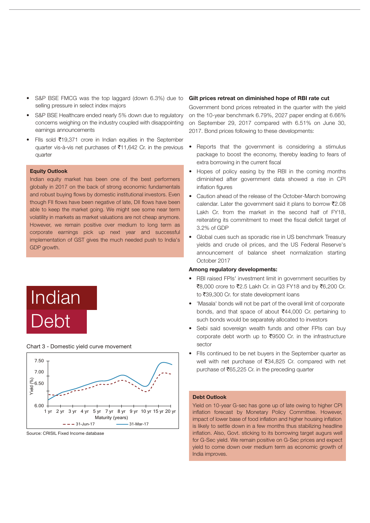- selling pressure in select index majors S&P BSE FMCG was the top laggard (down 6.3%) due to
- S&P BSE Healthcare ended nearly 5% down due to regulatory concerns weighing on the industry coupled with disappointing earnings announcements
- FIIs sold  $\bar{z}$ 19,371 crore in Indian equities in the September quarter vis-à-vis net purchases of  $\overline{5}11,642$  Cr. in the previous quarter

#### Equity Outlook

Indian equity market has been one of the best performers globally in 2017 on the back of strong economic fundamentals and robust buying flows by domestic institutional investors. Even though FII flows have been negative of late, DII flows have been able to keep the market going. We might see some near term volatility in markets as market valuations are not cheap anymore. However, we remain positive over medium to long term as corporate earnings pick up next year and successful implementation of GST gives the much needed push to India's GDP growth.





Chart 3 - Domestic yield curve movement

#### Source: CRISIL Fixed Income database

#### Gilt prices retreat on diminished hope of RBI rate cut

Government bond prices retreated in the quarter with the yield on the 10-year benchmark 6.79%, 2027 paper ending at 6.66% on September 29, 2017 compared with 6.51% on June 30, 2017. Bond prices following to these developments:

- Reports that the government is considering a stimulus package to boost the economy, thereby leading to fears of extra borrowing in the current fiscal
- Hopes of policy easing by the RBI in the coming months diminished after government data showed a rise in CPI inflation figures
- Caution ahead of the release of the October-March borrowing calendar. Later the government said it plans to borrow  $\bar{\mathfrak{Z}}2.08$ Lakh Cr. from the market in the second half of FY18, reiterating its commitment to meet the fiscal deficit target of 3.2% of GDP
- Global cues such as sporadic rise in US benchmark Treasury yields and crude oil prices, and the US Federal Reserve's announcement of balance sheet normalization starting October 2017

#### Among regulatory developments:

- RBI raised FPIs' investment limit in government securities by  $\overline{3}8,000$  crore to  $\overline{3}2.5$  Lakh Cr. in Q3 FY18 and by  $\overline{3}6,200$  Cr. to ₹39,300 Cr. for state development loans
- 'Masala' bonds will not be part of the overall limit of corporate bonds, and that space of about  $\overline{5}44,000$  Cr. pertaining to such bonds would be separately allocated to investors
- Sebi said sovereign wealth funds and other FPIs can buy corporate debt worth up to  $\overline{\mathfrak{e}}$ 9500 Cr. in the infrastructure sector
- FIIs continued to be net buyers in the September quarter as well with net purchase of  $\text{\textsf{F}}34,825$  Cr. compared with net purchase of  $\bar{\mathfrak{e}}$ 65,225 Cr. in the preceding quarter

#### Debt Outlook

Yield on 10-year G-sec has gone up of late owing to higher CPI inflation forecast by Monetary Policy Committee. However, impact of lower base of food inflation and higher housing inflation is likely to settle down in a few months thus stabilizing headline inflation. Also, Govt. sticking to its borrowing target augurs well for G-Sec yield. We remain positive on G-Sec prices and expect yield to come down over medium term as economic growth of India improves.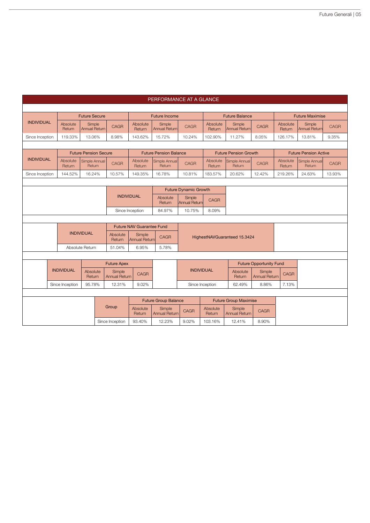|                   | PERFORMANCE AT A GLANCE |                    |                                |  |                                |                                  |                                      |                              |                    |                                |                                |                              |                                |             |  |
|-------------------|-------------------------|--------------------|--------------------------------|--|--------------------------------|----------------------------------|--------------------------------------|------------------------------|--------------------|--------------------------------|--------------------------------|------------------------------|--------------------------------|-------------|--|
|                   |                         |                    |                                |  |                                |                                  |                                      |                              |                    |                                |                                |                              |                                |             |  |
|                   |                         |                    | <b>Future Secure</b>           |  |                                |                                  | <b>Future Income</b>                 |                              |                    | <b>Future Balance</b>          |                                |                              | <b>Future Maximise</b>         |             |  |
| <b>INDIVIDUAL</b> |                         | Absolute<br>Return | Simple<br><b>Annual Return</b> |  | <b>CAGR</b>                    | Absolute<br>Return               | Simple<br>Annual Return              | <b>CAGR</b>                  | Absolute<br>Return | Simple<br>Annual Return        | <b>CAGR</b>                    | Absolute<br>Return           | Simple<br><b>Annual Return</b> | <b>CAGR</b> |  |
| Since Inception   |                         | 119.33%            | 13.06%                         |  | 8.98%                          | 143.62%                          | 15.72%                               | 10.24%                       | 102.90%            | 11.27%                         | 8.05%                          | 126.17%                      | 13.81%                         | 9.35%       |  |
|                   |                         |                    |                                |  |                                |                                  |                                      |                              |                    |                                |                                |                              |                                |             |  |
|                   |                         |                    | <b>Future Pension Secure</b>   |  |                                |                                  | <b>Future Pension Balance</b>        |                              |                    | <b>Future Pension Growth</b>   |                                | <b>Future Pension Active</b> |                                |             |  |
| <b>INDIVIDUAL</b> |                         | Absolute<br>Return | Simple Annual<br>Return        |  | <b>CAGR</b>                    | Absolute<br>Return               | Simple Annual<br>Return              | <b>CAGR</b>                  | Absolute<br>Return | Simple Annual<br>Return        | <b>CAGR</b>                    | Absolute<br>Return           | Simple Annual<br>Return        | <b>CAGR</b> |  |
| Since Inception   |                         | 144.52%            | 16.24%                         |  | 10.57%                         | 149.35%                          | 16.78%                               | 10.81%                       | 183.57%            | 20.62%                         | 12.42%                         | 219.26%                      | 24.63%                         | 13.93%      |  |
|                   |                         |                    |                                |  |                                |                                  |                                      |                              |                    |                                |                                |                              |                                |             |  |
|                   |                         |                    |                                |  |                                |                                  |                                      | <b>Future Dynamic Growth</b> |                    |                                |                                |                              |                                |             |  |
|                   |                         |                    |                                |  | <b>INDIVIDUAL</b>              |                                  | Absolute<br>Return                   | Simple<br>Annual Returr      | CAGR               |                                |                                |                              |                                |             |  |
|                   |                         |                    |                                |  |                                | Since Inception                  | 84.97%                               | 10.75%                       | 8.09%              |                                |                                |                              |                                |             |  |
|                   |                         |                    |                                |  |                                |                                  |                                      |                              |                    |                                |                                |                              |                                |             |  |
|                   |                         |                    |                                |  |                                | <b>Future NAV Guarantee Fund</b> |                                      |                              |                    |                                |                                |                              |                                |             |  |
|                   |                         |                    | <b>INDIVIDUAL</b>              |  | Absolute<br>Return             | Simple<br><b>Annual Return</b>   | CAGR<br>HighestNAVGuaranteed 15.3424 |                              |                    |                                |                                |                              |                                |             |  |
|                   |                         |                    | Absolute Return                |  | 51.04%                         | 6.95%                            | 5.78%                                |                              |                    |                                |                                |                              |                                |             |  |
|                   |                         |                    |                                |  |                                |                                  |                                      |                              |                    |                                |                                |                              |                                |             |  |
|                   |                         |                    |                                |  | <b>Future Apex</b>             |                                  |                                      |                              |                    |                                | <b>Future Opportunity Fund</b> |                              |                                |             |  |
|                   | <b>INDIVIDUAL</b>       |                    | Absolute<br>Return             |  | Simple<br><b>Annual Return</b> | <b>CAGR</b>                      |                                      | <b>INDIVIDUAL</b>            |                    | Absolute<br>Return             | Simple<br><b>Annual Return</b> | <b>CAGR</b>                  |                                |             |  |
|                   | Since Inception         |                    | 95.78%                         |  | 12.31%                         | 9.02%                            |                                      |                              | Since Inception    | 62.49%                         | 8.86%                          | 7.13%                        |                                |             |  |
|                   |                         |                    |                                |  |                                |                                  |                                      |                              |                    |                                |                                |                              |                                |             |  |
|                   |                         |                    |                                |  |                                |                                  | <b>Future Group Balance</b>          |                              |                    | <b>Future Group Maximise</b>   |                                |                              |                                |             |  |
|                   |                         |                    |                                |  | Group                          | Absolute<br>Return               | Simple<br><b>Annual Return</b>       | CAGR                         | Absolute<br>Return | Simple<br><b>Annual Return</b> | <b>CAGR</b>                    |                              |                                |             |  |
|                   |                         |                    |                                |  | Since Inception                | 93.40%                           | 12.23%                               | 9.02%                        | 103.16%            | 12.41%                         | 8.90%                          |                              |                                |             |  |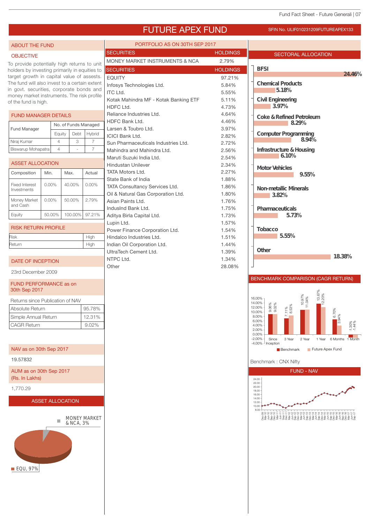**24.46%**

SECTORAL ALLOCATION

**Coke & Refined Petroleum**

**8.29%**

**8.94%**

**9.55%**

**Infrastructure & Housing**

**6.10%**

**Computer Programming**

**Chemical Products**

### FUTURE APEX FUND SFIN NO. ULIF010231209FUTUREAPEX133

ABOUT THE FUND PORTFOLIO AS ON 30TH SEP 2017

To provide potentially high returns to unit holders by investing primarily in equities to  $\left| \cdot \right|$ target growth in capital value of assests. The fund will also invest to a certain extent in govt. securities, corporate bonds and money market instruments. The risk profile of the fund is high.

**OBJECTIVE** 

#### FUND MANAGER DETAILS Equity Debt Hybrid Nirai Kumar 4 3 7 Fund Manager No. of Funds Managed Biswarup Mohapatra 4 - 7

| ASSET ALLOCATION                     |          |        |          |
|--------------------------------------|----------|--------|----------|
| Composition                          | Min.     | Max.   | Actual   |
| <b>Fixed Interest</b><br>Investments | $0.00\%$ | 40.00% | $0.00\%$ |
| Money Market                         | $0.00\%$ | 50.00% | 2.79%    |

| and Cash                   |  |                       |  |  |  |
|----------------------------|--|-----------------------|--|--|--|
| Equity                     |  | 50.00% 100.00% 97.21% |  |  |  |
|                            |  |                       |  |  |  |
| <b>RISK RETURN PROFILE</b> |  |                       |  |  |  |

| Risk   | High |
|--------|------|
| Return | High |
|        |      |

#### DATE OF INCEPTION

23rd December 2009

#### FUND PERFORMANCE as on 30th Sep 2017

|  | Returns since Publication of NAV |  |  |
|--|----------------------------------|--|--|
|  |                                  |  |  |

| Absolute Return      | 95.78% |
|----------------------|--------|
| Simple Annual Return | 12.31% |
| CAGR Return          | 9.02%  |

#### NAV as on 30th Sep 2017

19.57832

AUM as on 30th Sep 2017 (Rs. In Lakhs)

1,770.29

#### ASSET ALLOCATION



| <b>SECURITIES</b>                         | <b>HOLDINGS</b> | <b>SECTORA</b>    |
|-------------------------------------------|-----------------|-------------------|
| <b>MONEY MARKET INSTRUMENTS &amp; NCA</b> | 2.79%           |                   |
| <b>SECURITIES</b>                         | <b>HOLDINGS</b> | <b>BFSI</b>       |
| <b>EQUITY</b>                             | 97.21%          |                   |
| Infosys Technologies Ltd.                 | 5.84%           | Chemical Produ    |
| <b>ITC Ltd.</b>                           | 5.55%           | 518%              |
| Kotak Mahindra MF - Kotak Banking ETF     | 5.11%           | Civil Engineering |
| HDFC Ltd.                                 | 4.73%           | 39%               |
| Reliance Industries Ltd.                  | 4.64%           | Coke & Refined    |
| HDFC Bank Ltd.                            | 4.46%           | 8                 |
| Larsen & Toubro Ltd.                      | 3.97%           |                   |
| <b>ICICI Bank Ltd.</b>                    | 2.82%           | Computer Progr    |
| Sun Pharmaceuticals Industries Ltd.       | 2.72%           |                   |
| Mahindra and Mahindra Ltd.                | 2.56%           | Infrastructure &  |
| Maruti Suzuki India Ltd.                  | 2.54%           | 610%              |
| Hindustan Unilever                        | 2.34%           | Motor Vehicles    |
| <b>TATA Motors Ltd.</b>                   | 2.27%           |                   |
| State Bank of India                       | 1.88%           |                   |
| <b>TATA Consultancy Services Ltd.</b>     | 1.86%           | Non-metallic Mr   |
| Oil & Natural Gas Corporation Ltd.        | 1.80%           | 382%              |
| Asian Paints I td.                        | 1.76%           |                   |
| IndusInd Bank Ltd.                        | 1.75%           | Pharmaceuticals   |
| Aditya Birla Capital Ltd.                 | 1.73%           | 57.               |
| Lupin Ltd.                                | 1.57%           |                   |
| Power Finance Corporation Ltd.            | 1.54%           | Tobacco           |
| Hindalco Industries Ltd.                  | 1.51%           | 555%              |
| Indian Oil Corporation Ltd.               | 1.44%           |                   |
| UltraTech Cement Ltd.                     | 1.39%           | Other             |
| NTPC Ltd.                                 | 1.34%           |                   |
| Other                                     | 28.08%          |                   |
|                                           |                 |                   |

#### BENCHMARK COMPARISON (CAGR RETURN)

**18.38%**



Benchmark : CNX Nifty

**Pharmaceuticals** 

**Non-metallic Minerals**

**5.73%**

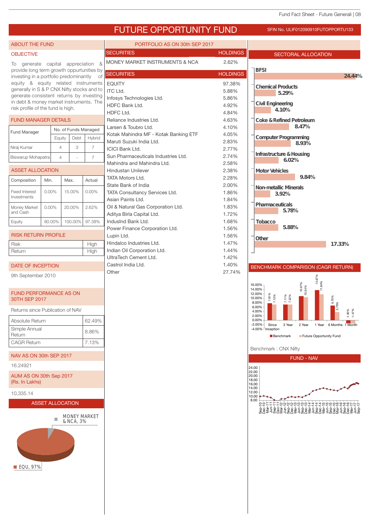## FUTURE OPPORTUNITY FUND SFIN NO. ULIF012090910FUTOPPORTU133

PORTFOLIO AS ON 30th SEP 2017

### ABOUT THE FUND

#### **OBJECTIVE**

To generate capital appreciation & provide long term growth oppurtunities by investing in a portfolio predominantly of equity & equity related instruments generally in S & P CNX Nifty stocks and to generate consistent returns by investing in debt & money market instruments. The risk profile of the fund is high.

#### FUND MANAGER DETAILS

| Fund Manager       | No. of Funds Managed |      |        |  |  |
|--------------------|----------------------|------|--------|--|--|
|                    | Equity               | Debt | Hybrid |  |  |
| Niraj Kumar        |                      | З    |        |  |  |
| Biswarup Mohapatra |                      |      |        |  |  |

#### ASSET ALLOCATION

| Min.     | Max.    | Actual   |
|----------|---------|----------|
| $0.00\%$ | 15.00%  | $0.00\%$ |
| $0.00\%$ | 20.00%  | 2.62%    |
| 80.00%   | 100.00% | 97.38%   |
|          |         |          |

Return High

High

| <b>RISK RETURN PROFILE</b> |  |
|----------------------------|--|
| l Risk                     |  |

#### DATE OF INCEPTION

9th September 2010

#### FUND PERFORMANCE AS ON 30TH SEP 2017

Returns since Publication of NAV

| Absolute Return         | 62.49% |
|-------------------------|--------|
| Simple Annual<br>Return | 8.86%  |
| <b>CAGR Return</b>      | 7.13%  |

#### NAV AS ON 30th SEP 2017

16.24921

AUM AS ON 30th Sep 2017 (Rs. In Lakhs)

10,335.14



MONEY MARKET  $\mathbb{R}^n$ 



| MONEY MARKET INSTRUMENTS & NCA        | 2.62%           |
|---------------------------------------|-----------------|
| <b>SECURITIES</b>                     | <b>HOLDINGS</b> |
| <b>EQUITY</b>                         | 97.38%          |
| ITC Ltd.                              | 5.88%           |
| Infosys Technologies Ltd.             | 5.86%           |
| HDFC Bank Ltd.                        | 4.92%           |
| HDFC Ltd.                             | 4.84%           |
| Reliance Industries Ltd.              | 4.63%           |
| Larsen & Toubro Ltd.                  | 4.10%           |
| Kotak Mahindra MF - Kotak Banking ETF | 4.05%           |
| Maruti Suzuki India Ltd.              | 2.83%           |
| <b>ICICI Bank Ltd.</b>                | 2.77%           |
| Sun Pharmaceuticals Industries Ltd.   | 2.74%           |
| Mahindra and Mahindra Ltd.            | 2.58%           |
| Hindustan Unilever                    | 2.38%           |
| TATA Motors I td.                     | 2.28%           |
| State Bank of India                   | 2.00%           |
| <b>TATA Consultancy Services Ltd.</b> | 1.86%           |
| Asian Paints Ltd.                     | 1.84%           |
| Oil & Natural Gas Corporation Ltd.    | 1.83%           |
| Aditya Birla Capital Ltd.             | 1.72%           |
| IndusInd Bank Ltd.                    | 1.68%           |
| Power Finance Corporation Ltd.        | 1.56%           |
| Lupin Ltd.                            | 1.56%           |
| Hindalco Industries Ltd.              | 1.47%           |
| Indian Oil Corporation Ltd.           | 1.44%           |
| UltraTech Cement Ltd.                 | 1.42%           |
| Castrol India Ltd.                    | 1.40%           |
| Other                                 | 27.74%          |





Benchmark : CNX Nifty

4.00%

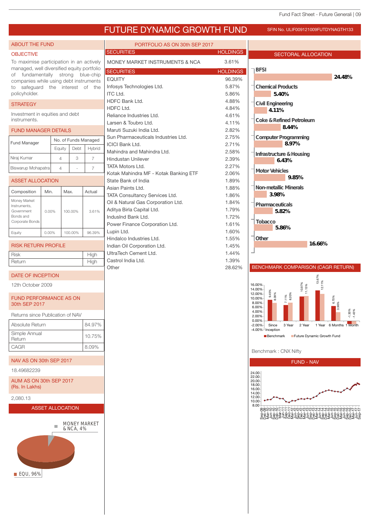**24.48%**

## FUTURE DYNAMIC GROWTH FUND SFIN NO. ULIF009121009FUTDYNAGTH133

ABOUT THE FUND

### **OBJECTIVE**

To maximise participation in an actively managed, well diversified equity portfolio of fundamentally strong blue-chip companies while using debt instruments to safeguard the interest of the policyholder.

#### **STRATEGY**

Investment in equities and debt instruments.

#### FUND MANAGER DETAILS

| <b>Fund Manager</b> | No. of Funds Managed |      |        |  |  |
|---------------------|----------------------|------|--------|--|--|
|                     | Equity               | Debt | Hybrid |  |  |
| Niraj Kumar         |                      | 3    |        |  |  |
| Biswarup Mohapatra  |                      |      |        |  |  |

#### ASSET ALLOCATION

| Composition                                                                | Min.     | Max.    | Actual |
|----------------------------------------------------------------------------|----------|---------|--------|
| Money Market<br>Instruments.<br>Government<br>Bonds and<br>Corporate Bonds | $0.00\%$ | 100.00% | 3.61%  |
| Equity                                                                     | $0.00\%$ | 100.00% | 96.39% |

- RISK RETURN PROFILE
- Risk High Return High

#### DATE OF INCEPTION

12th October 2009

#### FUND PERFORMANCE AS ON 30th SEP 2017

| Absolute Return         | 84.97% |
|-------------------------|--------|
| Simple Annual<br>Return | 10.75% |
| CAGR                    | 8.09%  |

#### NAV AS ON 30th SEP 2017

18.49682239

AUM AS ON 30th SEP 2017 (Rs. In Lakhs)

#### 2,080.13

ASSET ALLOCATION



| PORTFOLIO AS ON 30th SEP 2017         |                 |                                   |
|---------------------------------------|-----------------|-----------------------------------|
| <b>SECURITIES</b>                     | <b>HOLDINGS</b> | <b>SECTORAL ALLOCATION</b>        |
| MONEY MARKET INSTRUMENTS & NCA        | 3.61%           |                                   |
| <b>SECURITIES</b>                     | <b>HOLDINGS</b> | <b>BFSI</b>                       |
| <b>EQUITY</b>                         | 96.39%          |                                   |
| Infosys Technologies Ltd.             | 5.87%           | <b>Chemical Products</b>          |
| <b>ITC Ltd.</b>                       | 5.86%           | 540%                              |
| HDFC Bank Ltd.                        | 4.88%           | Civil Engineering                 |
| HDFC Ltd.                             | 4.84%           | 411%                              |
| Reliance Industries Ltd.              | 4.61%           |                                   |
| Larsen & Toubro Ltd.                  | 4.11%           | Coke & Refined Petroleum          |
| Maruti Suzuki India Ltd.              | 2.82%           | 844%                              |
| Sun Pharmaceuticals Industries Ltd.   | 2.75%           | Computer Programming              |
| <b>ICICI Bank Ltd.</b>                | 2.71%           | 897%                              |
| Mahindra and Mahindra Ltd.            | 2.58%           | Infrastructure&Housing            |
| <b>Hindustan Unilever</b>             | 2.39%           | 643%                              |
| <b>TATA Motors Ltd.</b>               | 2.27%           |                                   |
| Kotak Mahindra MF - Kotak Banking ETF | 2.06%           | Motor Vehicles<br>985%            |
| State Bank of India                   | 1.89%           |                                   |
| Asian Paints Ltd.                     | 1.88%           | Non-metallic Miherals             |
| <b>TATA Consultancy Services Ltd.</b> | 1.86%           | 398%                              |
| Oil & Natural Gas Corporation Ltd.    | 1.84%           | Pharmaceuticals                   |
| Aditya Birla Capital Ltd.             | 1.79%           | 582%                              |
| IndusInd Bank Ltd.                    | 1.72%           |                                   |
| Power Finance Corporation Ltd.        | 1.61%           | Tobacco<br>586%                   |
| Lupin Ltd.                            | 1.60%           |                                   |
| Hindalco Industries Ltd.              | 1.55%           | Other                             |
| Indian Oil Corporation Ltd.           | 1.45%           | 1666%                             |
| UltraTech Cement Ltd.                 | 1.44%           |                                   |
| Castrol India Ltd.                    | 1.39%           |                                   |
| Other                                 | 28.62%          | <b>BENCHMARK COMPARISON (CAGR</b> |

#### BENCHMARK COMPARISON (CAGR RETURN)



Benchmark : CNX Nifty

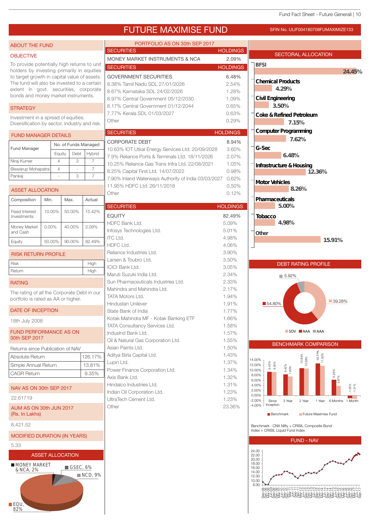FUTURE MAXIMISE FUND SFIN NO. ULIF004180708FUMAXIMIZE133

#### **NCD, 9%**  $F$  $O$ **MONEY MARKET**<br>& NCA 2%  $\blacksquare$  GSEC, 6% SECTORAL ALLOCATION PORTFOLIO AS ON 30th SEP 2017 SECURITIES **HOLDINGS** MONEY MARKET INSTRUMENTS & NCA 2.09% SECURITIES SECURITIES HOLDINGS SECURITIES **HOLDINGS** HOLDINGS GOVERNMENT SECURITIES 6.48% 8.38% Tamil Nadu SDL 27/01/2026 2.54% 8.67% Karnataka SDL 24/02/2026 1.28% 8.97% Central Government 05/12/2030 1.09% 8.17% Central Government 01/12/2044 0.65% 7.77% Kerala SDL 01/03/2027 0.63% Other 0.29% CORPORATE DEBT 8.94% 10.63% IOT Utkal Energy Services Ltd. 20/09/2028 3.60% 7.9% Reliance Ports & Terminals Ltd. 18/11/2026 2.07% 10.25% Reliance Gas Trans Infra Ltd. 22/08/2021 1.05% 8.25% Capital First Ltd. 14/07/2022 0.98% 7.90% Inland Waterways Authority of India 03/03/2027 0.62% 11.95% HDFC Ltd. 26/11/2018 0.50% Other 0.12% EQUITY 82.49% HDFC Bank Ltd. 6.09% Infosys Technologies Ltd. 5.01%  $\textsf{ITC Ltd.} \quad \textcolor{red}{\mathsf{4.98\%}}$ HDFC Ltd. 4.06% Reliance Industries Ltd. 3.90% Larsen & Toubro Ltd. 3.50% ICICI Bank Ltd. 3.05% Maruti Suzuki India Ltd. 2.34% Sun Pharmaceuticals Industries Ltd. 2.33% Mahindra and Mahindra Ltd. 2.17% TATA Motors Ltd. 1.94% Hindustan Unilever 1.91% State Bank of India 1.77% Kotak Mahindra MF - Kotak Banking ETF 1.66% TATA Consultancy Services Ltd. 1.58% IndusInd Bank Ltd. 1.57% Oil & Natural Gas Corporation Ltd. 1.55% Asian Paints Ltd. 1.50% Aditya Birla Capital Ltd. 1.43% Lupin Ltd. 1.37% Power Finance Corporation Ltd. 1.34% Axis Bank Ltd. 1.32% Hindalco Industries Ltd. 1.31% Indian Oil Corporation Ltd. 1.23% UltraTech Cement Ltd. 1.23% Other 23.36% ABOUT THE FUND OBJECTIVE To provide potentially high returns to unit holders by investing primarily in equities to target growth in capital value of assets. The fund will also be invested to a certain extent in govt. securities, corporate bonds and money market instruments. **STRATEGY** Investment in a spread of equities. Diversification by sector, industry and risk. RATING The rating of all the Corporate Debt in our portfolio is rated as AA or higher. DATE OF INCEPTION 18th July 2008 FUND PERFORMANCE AS ON 30th SEP 2017 NAV AS ON 30th SEP 2017 22.61719 AUM AS ON 30th JUN 2017 (Rs. In Lakhs) 8,421.52 MODIFIED DURATION (IN YEARS) 5.33 ASSET ALLOCATION FUND MANAGER DETAILS Equity Debt Hybrid Nirai Kumar  $\begin{array}{|c|c|c|c|c|c|} \hline \end{array}$  4  $\begin{array}{|c|c|c|c|c|} \hline \end{array}$  4  $\begin{array}{|c|c|c|c|c|} \hline \end{array}$  3  $\begin{array}{|c|c|c|c|c|} \hline \end{array}$  7 Fund Manager No. of Funds Managed RISK RETURN PROFILE Biswarup Mohapatra  $\begin{array}{|c|c|c|c|c|} \hline 4 & - & -7 \ \hline \end{array}$ Pankaj | - | 3 | 7 ASSET ALLOCATION Equity 50.00% 90.00% 82.49% Money Market 0.00% 40.00% 2.09% and Cash Fixed Interest 10.00% 50.00% 15.42% Investments Composition | Min. | Max. | Actual Risk High High Return High High Returns since Publication of NAV Absolute Return 126.17% Simple Annual Return 13.81% CAGR Return 9.35% FUND - NAV **BFSI Other Civil Engineering Chemical Products Coke & Refined Petroleum Tobacco Pharmaceuticals Motor Vehicles Infrastructure & Housing G-Sec Computer Programming 24.45% 4.29% 3.50% 6.48% 7.15% 7.62% 12.36% 8.26% 5.00% 4.98% 15.91%** DEBT RATING PROFILE  $\blacksquare$  54.80%  $\blacksquare$  54.80% ■ 5.92% **SOV AAA** AAA BENCHMARK COMPARISON 9.43% 8.42% 10.84% 12.71% 6.29% -1.05% 9.35% 7.60% 10.68% 11.82% 3.87% -1.31%  $-4.00%$ -2.00% 0.00% 2.00% 4.00% 6.00% 8.00% 10.00% 12.00% 14.00% Since Inception 3 Year 2 Year 1 Year 6 Months 1 Month Benchmark Future Maximise Fund Benchmark : CNX Nifty + CRISIL Composite Bond Index + CRISIL Liquid Fund Index 8.00 10.00 12.00 14.00 16.00 18.00 20.00 22.00 24.00 ම අන්තර් පරිසර් පරිසර් පරිසර් පරිසර් පරිසර් පරිසර් පරිසර් පරිසර් පරිසර් පරිසර් පරිසර් පරිසර් පරිසර් පරිසර්<br>අවුරුදි පරිසර් පරිසර් පරිසර් පරිසර් පරිසර් පරිසර් පරිසර් පරිසර් පරිසර් පරිසර්<br>නිර්මාණය පරිසර් පරිසර් පරිසර් පරිස

82%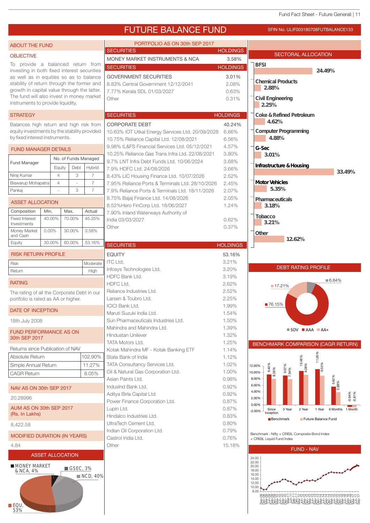#### Fund Fact Sheet - Future Generali | 11

Sep-08 Dec-08 Mar-09 Jun-09 Sep-09 Dec-09 Mar-10 Jun-10 Sep-10 Dec-10 Mar-11 Jun-11 Sep-11 Dec-11 Mar-12 Jun-12 Sep-12 Dec-12 Mar-13 Jun-13 Sep-13 Dec-13 Mar-14 Jun-14 Sep-14 Dec-14 Mar-15 Jun-15 Sep-15 Dec-15 Mar-16 Jun-16 Sep-16 Dec-16 Mar-17 Jun-17 Sep-17

8.00



| 4.84                                            |                                            |
|-------------------------------------------------|--------------------------------------------|
| <b>ASSET ALLOCATION</b>                         |                                            |
| <b>MONEY MARKET</b><br>& NCA, 4%<br>EQU,<br>53% | $\blacksquare$ GSEC, 3%<br><b>NCD, 40%</b> |

**OBJECTIVE** 

**STRATEGY** 

Fund Manager

RATING

and Cash

Investments

18th July 2008

30th SEP 2017

20.28996

(Rs. In Lakhs) 8,422.58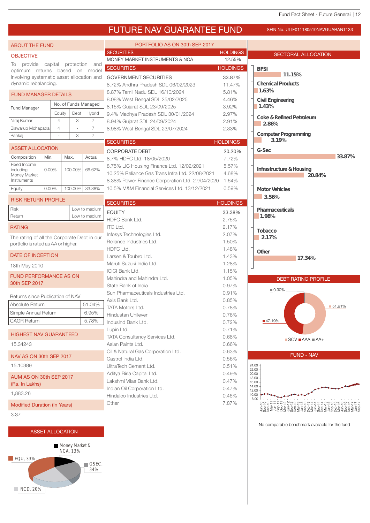## FUTURE NAV GUARANTEE FUND SFIN NO. ULIF011180510NAVGUARANT133

| <b>ABOUT THE FUND</b>                                             |                |                             |                | PORTFOLIO AS ON 30th SEP 2017                                       |                 |                                                                       |
|-------------------------------------------------------------------|----------------|-----------------------------|----------------|---------------------------------------------------------------------|-----------------|-----------------------------------------------------------------------|
| <b>OBJECTIVE</b>                                                  |                |                             |                | <b>SECURITIES</b>                                                   | <b>HOLDINGS</b> | SECTORAL ALLOCATION                                                   |
| To provide capital protection and                                 |                |                             |                | MONEY MARKET INSTRUMENTS & NCA                                      | 12.55%          |                                                                       |
| optimum returns based on model                                    |                |                             |                | <b>SECURITIES</b>                                                   | <b>HOLDINGS</b> | <b>BFSI</b><br>11.15%                                                 |
| involving systematic asset allocation and<br>dynamic rebalancing. |                |                             |                | <b>GOVERNMENT SECURITIES</b>                                        | 33.87%          | <b>Chemical Products</b>                                              |
|                                                                   |                |                             |                | 8.72% Andhra Pradesh SDL 06/02/2023                                 | 11.47%          | 1.63%                                                                 |
| <b>FUND MANAGER DETAILS</b>                                       |                |                             |                | 8.87% Tamil Nadu SDL 16/10/2024<br>8.08% West Bengal SDL 25/02/2025 | 5.81%<br>4.46%  |                                                                       |
|                                                                   |                | No. of Funds Managed        |                | 8.15% Gujarat SDL 23/09/2025                                        | 3.92%           | <b>Civil Engineering</b><br>1.43%                                     |
| Fund Manager                                                      | Equity         | Debt                        | Hybrid         | 9.4% Madhya Pradesh SDL 30/01/2024                                  | 2.97%           |                                                                       |
| Niraj Kumar                                                       | $\overline{4}$ | 3                           | $\overline{7}$ | 8.94% Gujarat SDL 24/09/2024                                        | 2.91%           | Coke & Refined Petroleum<br>286%                                      |
| Biswarup Mohapatra                                                | $\overline{4}$ |                             | $\overline{7}$ | 8.98% West Bengal SDL 23/07/2024                                    | 2.33%           |                                                                       |
| Pankaj                                                            |                | 3                           | $\overline{7}$ |                                                                     |                 | Computer Programming<br>31%                                           |
|                                                                   |                |                             |                | <b>SECURITIES</b>                                                   | <b>HOLDINGS</b> |                                                                       |
| <b>ASSET ALLOCATION</b>                                           |                |                             |                | <b>CORPORATE DEBT</b>                                               | 20.20%          | G-Sec                                                                 |
| Composition                                                       | Min.           | Max.                        | Actual         | 8.7% HDFC Ltd. 18/05/2020                                           | 7.72%           | 3387%                                                                 |
| Fixed Income<br>includina                                         | $0.00\%$       | 100.00%                     | 66.62%         | 8.75% LIC Housing Finance Ltd. 12/02/2021                           | 5.57%           | Infrastructure&Housing                                                |
| Money Market                                                      |                |                             |                | 10.25% Reliance Gas Trans Infra Ltd. 22/08/2021                     | 4.68%           | 2084%                                                                 |
| Instruments                                                       |                |                             |                | 8.38% Power Finance Corporation Ltd. 27/04/2020                     | 1.64%           |                                                                       |
| Equity                                                            | $0.00\%$       | 100.00% 33.38%              |                | 10.5% M&M Financial Services Ltd. 13/12/2021                        | 0.59%           | Motor Vehicles                                                        |
| <b>RISK RETURN PROFILE</b>                                        |                |                             |                | <b>SECURITIES</b>                                                   | <b>HOLDINGS</b> | 356%                                                                  |
| <b>Risk</b>                                                       |                |                             | Low to medium  |                                                                     |                 | Pharmaceuticals                                                       |
| Return                                                            |                |                             | Low to medium  | <b>EQUITY</b>                                                       | 33.38%          | 1.98%                                                                 |
|                                                                   |                |                             |                | HDFC Bank Ltd.<br><b>ITC Ltd.</b>                                   | 2.75%<br>2.17%  |                                                                       |
| <b>RATING</b>                                                     |                |                             |                | Infosys Technologies Ltd.                                           | 2.07%           | Tobacco                                                               |
| The rating of all the Corporate Debt in our                       |                |                             |                | Reliance Industries Ltd.                                            | 1.50%           | 217%                                                                  |
| portfolio is rated as AA or higher.                               |                |                             | HDFC Ltd.      | 1.48%                                                               |                 |                                                                       |
| DATE OF INCEPTION                                                 |                |                             |                | Larsen & Toubro Ltd.                                                | 1.43%           | Other<br>17.34%                                                       |
| 18th May 2010                                                     |                |                             |                | Maruti Suzuki India Ltd.                                            | 1.28%           |                                                                       |
|                                                                   |                |                             |                | <b>ICICI Bank Ltd.</b>                                              | 1.15%           |                                                                       |
| <b>FUND PERFORMANCE AS ON</b>                                     |                |                             |                | Mahindra and Mahindra Ltd.                                          | 1.05%           | <b>DEBT RATING PROFILE</b>                                            |
| 30th SEP 2017                                                     |                |                             |                | State Bank of India                                                 | 0.97%           | $0.90\%$                                                              |
| Returns since Publication of NAV                                  |                |                             |                | Sun Pharmaceuticals Industries Ltd.                                 | 0.91%           |                                                                       |
| Absolute Return                                                   |                |                             | 51.04%         | Axis Bank Ltd.                                                      | 0.85%           |                                                                       |
| Simple Annual Return                                              |                |                             | 6.95%          | <b>TATA Motors Ltd.</b>                                             | 0.78%           | $-51.91%$                                                             |
| <b>CAGR Return</b>                                                |                |                             | 5.78%          | Hindustan Unilever                                                  | 0.76%           | ■47.19%                                                               |
|                                                                   |                |                             |                | IndusInd Bank Ltd.                                                  | 0.72%           |                                                                       |
| <b>HIGHEST NAV GUARANTEED</b>                                     |                |                             |                | Lupin Ltd.<br>TATA Consultancy Services Ltd.                        | 0.71%<br>0.68%  |                                                                       |
| 15.34243                                                          |                |                             |                | Asian Paints Ltd.                                                   | 0.66%           | $\blacksquare$ SOV $\blacksquare$ AAA $\blacksquare$ AA+              |
|                                                                   |                |                             |                | Oil & Natural Gas Corporation Ltd.                                  | 0.63%           |                                                                       |
| NAV AS ON 30th SEP 2017                                           |                |                             |                | Castrol India Ltd.                                                  | 0.56%           | <b>FUND - NAV</b>                                                     |
| 15.10389                                                          |                |                             |                | UltraTech Cement Ltd.                                               | 0.51%           | 24.00                                                                 |
| AUM AS ON 30th SEP 2017                                           |                |                             |                | Aditya Birla Capital Ltd.                                           | 0.49%           | 22.00<br>20.00                                                        |
| (Rs. In Lakhs)                                                    |                |                             |                | Lakshmi Vilas Bank Ltd.                                             | 0.47%           | 18.00<br>16.00                                                        |
|                                                                   |                |                             |                | Indian Oil Corporation Ltd.                                         | 0.47%           | 14.00<br>12.00                                                        |
| 1,883.26                                                          |                |                             |                | Hindalco Industries Ltd.                                            | 0.46%           | 10.00<br>8.00                                                         |
| <b>Modified Duration (In Years)</b>                               |                |                             |                | Other                                                               | 7.87%           | 222222222214122424                                                    |
| 3.37                                                              |                |                             |                |                                                                     |                 | ゠゠ゖゖヹ゠ゖゕヿヹ゠ゖゖヸ゠ゖゖゖ゠゠ゖゖゖ゠゠ゖゖゖ゠゠ゖゖゖ゠<br>゠゙ゕゖヹ゠ゕゟヹ゠ゖゖゖ゠゠ゖゖゖ゠゠ゖゖゖ゠゠ゖゖゖ゠゠ゖ |
|                                                                   |                |                             |                |                                                                     |                 | No comparable benchmark available for the fund                        |
| <b>ASSET ALLOCATION</b>                                           |                |                             |                |                                                                     |                 |                                                                       |
|                                                                   |                |                             |                |                                                                     |                 |                                                                       |
|                                                                   |                | Money Market &<br>$NCA$ 13% |                |                                                                     |                 |                                                                       |

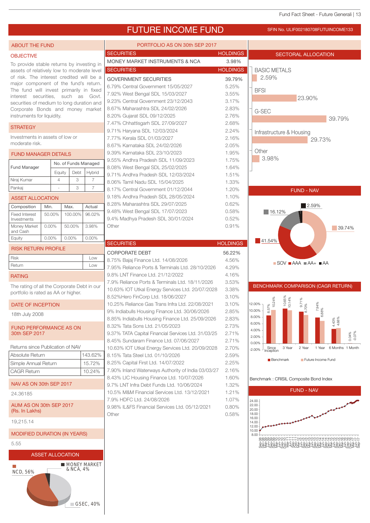#### Fund Fact Sheet - Future Generali | 13

#### FUTURE INCOME FUND SFIN NO. ULIF002180708FUTUINCOME133 PORTFOLIO AS ON 30th SEP 2017 ABOUT THE FUND SECURITIES **HOLDINGS** SECTORAL ALLOCATION OBJECTIVE MONEY MARKET INSTRUMENTS & NCA 3.98% To provide stable returns by investing in SECURITIES **HOLDINGS** BASIC METALS assets of relatively low to moderate level of risk. The interest credited will be a 2.59% GOVERNMENT SECURITIES 39.79% major component of the fund's return. 6.79% Central Government 15/05/2027 5.25% The fund will invest primarily in fixed **BFSI** 7.92% West Bengal SDL 15/03/2027 3.55% interest securities, such as Govt. 23.90% 9.23% Central Government 23/12/2043 3.17% securities of medium to long duration and 8.67% Maharashtra SDL 24/02/2026 2.83% Corporate Bonds and money market G-SEC instruments for liquidity. 8.20% Gujarat SDL 09/12/2025 2.76% 39.79% 7.47% Chhattisgarh SDL 27/09/2027 2.68% **STRATEGY** 9.71% Haryana SDL 12/03/2024 2.24% Infrastructure & Housing Investments in assets of low or 7.77% Kerala SDL 01/03/2027 2.16% 29.73% moderate risk. 8.67% Karnataka SDL 24/02/2026 2.05% **Other** 9.39% Karnataka SDL 23/10/2023 1.95% FUND MANAGER DETAILS 3.98% 9.55% Andhra Pradesh SDL 11/09/2023 1.75% No. of Funds Managed Fund Manager 8.08% West Bengal SDL 25/02/2025 1.64% Equity Debt Hybrid 9.71% Andhra Pradesh SDL 12/03/2024 1.51% Niraj Kumar 4 3 8.06% Tamil Nadu SDL 15/04/2025 1.33% Pankaj | - | 3 | 7 8.17% Central Government 01/12/2044 1.20% FUND - NAV 9.18% Andhra Pradesh SDL 28/05/2024 1.10% ASSET ALLOCATION 8.28% Maharashtra SDL 29/07/2025 0.62% 2.59% Composition Min. Max. Actual 9.48% West Bengal SDL 17/07/2023 0.58%  $16.12%$ Fixed Interest 50.00% 100.00% 96.02% 9.4% Madhya Pradesh SDL 30/01/2024 0.52% Investments Money Market | 0.00% | 50.00% | 3.98% Other 0.91%  $\sqrt{39.74\%}$ and Cash Equity | 0.00% | 0.00% | 0.00%  $\blacksquare$  41.54% SECURITIES **HOLDINGS** RISK RETURN PROFILE CORPORATE DEBT 56.22% Risk Low 8.75% Bajaj Finance Ltd. 14/08/2026 4.56%  $\blacksquare$  SOV  $\blacksquare$  AAA  $\blacksquare$  AA+  $\blacksquare$  AA Return Low 7.95% Reliance Ports & Terminals Ltd. 28/10/2026 4.29% 9.8% LNT Finance Ltd. 21/12/2022 4.16% RATING 7.9% Reliance Ports & Terminals Ltd. 18/11/2026 3.53% BENCHMARK COMPARISON (CAGR RETURN) The rating of all the Corporate Debt in our 10.63% IOT Utkal Energy Services Ltd. 20/07/2028 3.38% portfolio is rated as AA or higher. 8.52%Hero FinCorp Ltd. 18/06/2027 3.10% 8.57%<br>| 10.24%<br>| 10.65%<br>| 9.71%<br>| 7.94%  $0.048%$ <br>  $0.14%$ <br>  $0.14%$ <br>  $0.70%$ <br>  $0.89%$ <br>  $0.88%$ <br>  $0.48%$ <br>  $0.48%$ <br>  $0.48%$ <br>  $0.48%$ 10.25% Reliance Gas Trans Infra Ltd. 22/08/2021 3.10% 12.00% DATE OF INCEPTION 10.00% 9% Indiabulls Housing Finance Ltd. 30/06/2026 2.85% 18th July 2008 8.00% 8.85% Indiabulls Housing Finance Ltd. 25/09/2026 2.83% 4.43% 6.00% 8.32% Tata Sons Ltd. 21/05/2023 2.73% FUND PERFORMANCE AS ON 4.00% 30th SEP 2017 9.37% TATA Capital Financial Services Ltd. 31/03/25 2.71% -0.07% 2.00% 8.45% Sundaram Finance Ltd. 07/06/2027 2.71% 0.00% Returns since Publication of NAV 10.63% IOT Utkal Energy Services Ltd. 20/09/2028 2.70% 3 Year 2 Year 1 Year 6 Months 1 Month Since Inception -2.00% Absolute Return 143.62% 8.15% Tata Steel Ltd. 01/10/2026 2.59% **Benchmark Future Income Fund** Simple Annual Return 15.72% 8.25% Capital First Ltd. 14/07/2022 2.25% 7.90% Inland Waterways Authority of India 03/03/27 2.16% CAGR Return 10.24% 8.43% LIC Housing Finance Ltd. 10/07/2026 1.60% Benchmark : CRISIL Composite Bond Index NAV AS ON 30th SEP 2017 9.7% LNT Infra Debt Funds Ltd. 10/06/2024 1.32% FUND - NAV 10.5% M&M Financial Services Ltd. 13/12/2021 1.21% 24.36185 7.9% HDFC Ltd. 24/08/2026 1.07% 24.00 AUM AS ON 30th SEP 2017 9.98% IL&FS Financial Services Ltd. 05/12/2021 0.80% 22.00 20.00 (Rs. In Lakhs) 18.00 Other 0.58% 14.00 16.00 19,215.14 12.00  $10.00$ MODIFIED DURATION (IN YEARS) 8.00 Sep-08 Dec-08 Mar-09 Jun-09 Sep-09 Dec-09 Mar-10 Jun-10 Sep-10 Dec-10 Mar-11 Jun-11 Sep-11 Dec-11 Mar-12 Jun-12 Sep-12 Dec-12 Mar-13 Jun-13 Sep-13 Dec-13 Mar-14 Jun-14 Sep-14 Dec-14 Mar-15 Jun-15 Sep-15 Dec-15 Mar-16 Jun-16 Sep-16 Dec-16 Mar-17 Jun-17 Sep-175.55 ASSET ALLOCATION **MONEY MARKET**  $\blacksquare$  $R$ , NCA,  $4\%$ NCD, 56%

GSEC, 40%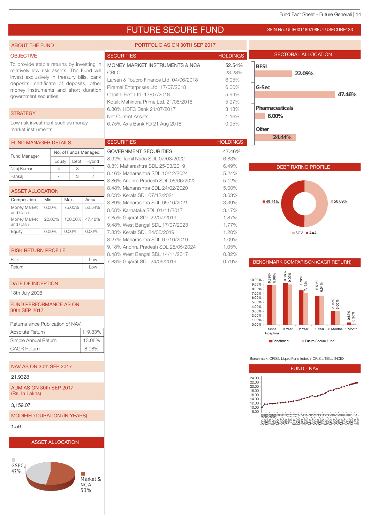#### Fund Fact Sheet - Future Generali | 14

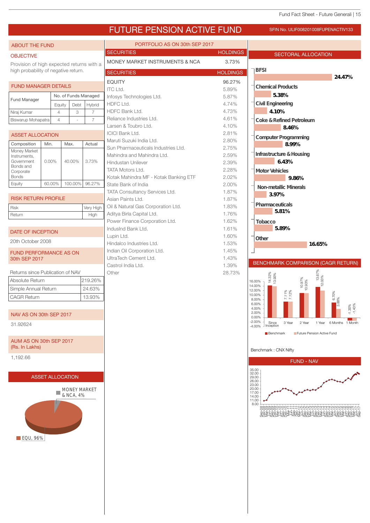## FUTURE PENSION ACTIVE FUND SFIN NO. ULIF008201008FUPENACTIV133

| <b>ABOUT THE FUND</b>                     |                          |           |         |                          | PORTFOLIO AS ON 30th SEP 2017                        |                 |                                                                 |                         |
|-------------------------------------------|--------------------------|-----------|---------|--------------------------|------------------------------------------------------|-----------------|-----------------------------------------------------------------|-------------------------|
| <b>OBJECTIVE</b>                          |                          |           |         |                          | <b>SECURITIES</b>                                    | <b>HOLDINGS</b> | SECTORAL ALLOCATION                                             |                         |
| Provision of high expected returns with a |                          |           |         |                          | MONEY MARKET INSTRUMENTS & NCA                       | 3.73%           |                                                                 |                         |
| high probability of negative return.      |                          |           |         |                          | <b>SECURITIES</b>                                    | <b>HOLDINGS</b> | <b>BFSI</b>                                                     | 2447%                   |
| <b>FUND MANAGER DETAILS</b>               |                          |           |         |                          | <b>EQUITY</b>                                        | 96.27%          | <b>Chemical Products</b>                                        |                         |
|                                           |                          |           |         |                          | ITC Ltd.                                             | 5.89%           | 538%                                                            |                         |
| Fund Manager                              |                          |           |         | No. of Funds Managed     | Infosys Technologies Ltd.<br>HDFC Ltd.               | 5.87%<br>4.74%  | Civil Engineering                                               |                         |
|                                           | Equity<br>$\overline{4}$ |           | Debt    | Hybrid<br>$\overline{7}$ | HDFC Bank Ltd.                                       | 4.73%           | 410%                                                            |                         |
| Niraj Kumar<br>Biswarup Mohapatra         | $\overline{4}$           |           | 3       | $\overline{7}$           | Reliance Industries Ltd.                             | 4.61%           | Coke & Refined Petroleum                                        |                         |
|                                           |                          |           |         |                          | Larsen & Toubro Ltd.                                 | 4.10%           | 846%                                                            |                         |
| <b>ASSET ALLOCATION</b>                   |                          |           |         |                          | <b>ICICI Bank Ltd.</b>                               | 2.81%           | Computer Programming                                            |                         |
| Composition                               | Min.                     | Max.      |         | Actual                   | Maruti Suzuki India Ltd.                             | 2.80%           | 899%                                                            |                         |
| Money Market                              |                          |           |         |                          | Sun Pharmaceuticals Industries Ltd.                  | 2.75%           |                                                                 |                         |
| Instruments,<br>Government                | $0.00\%$                 | 40.00%    |         | 3.73%                    | Mahindra and Mahindra Ltd.                           | 2.59%           | Infrastructure & Housing<br>643%                                |                         |
| Bonds and                                 |                          |           |         |                          | <b>Hindustan Unilever</b><br><b>TATA Motors Ltd.</b> | 2.39%<br>2.28%  |                                                                 |                         |
| Corporate<br><b>Bonds</b>                 |                          |           |         |                          | Kotak Mahindra MF - Kotak Banking ETF                | 2.02%           | Motor Vehicles<br>986%                                          |                         |
| Equity                                    | 60.00%                   |           | 100.00% | 96.27%                   | State Bank of India                                  | 2.00%           |                                                                 |                         |
|                                           |                          |           |         |                          | TATA Consultancy Services Ltd.                       | 1.87%           | Non-metallic Mherals<br>397%                                    |                         |
| <b>RISK RETURN PROFILE</b>                |                          |           |         |                          | Asian Paints Ltd.                                    | 1.87%           |                                                                 |                         |
| <b>Risk</b>                               |                          |           |         | Very High                | Oil & Natural Gas Corporation Ltd.                   | 1.83%           | Pharmaceuticals<br>581%                                         |                         |
| Return                                    |                          |           |         | High                     | Aditya Birla Capital Ltd.                            | 1.76%           |                                                                 |                         |
|                                           |                          |           |         |                          | Power Finance Corporation Ltd.<br>IndusInd Bank Ltd. | 1.62%<br>1.61%  | Tobacco<br>58%                                                  |                         |
| DATE OF INCEPTION                         |                          |           |         |                          | Lupin Ltd.                                           | 1.60%           |                                                                 |                         |
| 20th October 2008                         |                          |           |         |                          | Hindalco Industries Ltd.                             | 1.53%           | Other<br>1665%                                                  |                         |
| <b>FUND PERFORMANCE AS ON</b>             |                          |           |         |                          | Indian Oil Corporation Ltd.                          | 1.45%           |                                                                 |                         |
| 30th SEP 2017                             |                          |           |         |                          | UltraTech Cement Ltd.                                | 1.43%           |                                                                 |                         |
|                                           |                          |           |         |                          | Castrol India Ltd.                                   | 1.39%           | BENCHMARK COMPARISON (CAGR RETURN)                              |                         |
| Returns since Publication of NAV          |                          |           |         |                          | Other                                                | 28.73%          | 13.67%<br>12.03%<br>14.32%<br>13.93%                            |                         |
| Absolute Return                           |                          |           |         | 219.26%                  |                                                      |                 | 10.97%<br>10.93%<br>16.00%<br>14.00%                            |                         |
| Simple Annual Return                      |                          |           |         | 24.63%                   |                                                      |                 | 12.00%<br>7.11%<br>7.12%<br>10.00%                              |                         |
| <b>CAGR Return</b>                        |                          |           |         | 13.93%                   |                                                      |                 | 8.00%                                                           | 6.70%<br>3.88%          |
|                                           |                          |           |         |                          |                                                      |                 | 6.00%<br>4.00%<br>2.00%                                         | $-1.30\%$               |
| NAV AS ON 30th SEP 2017                   |                          |           |         |                          |                                                      |                 | 0.00%                                                           |                         |
| 31.92624                                  |                          |           |         |                          |                                                      |                 | -2.00%<br>Since<br>3 Year<br>2 Year<br>$-4.00\%$<br>J Inception | 1 Year 6 Months 1 Month |
|                                           |                          |           |         |                          |                                                      |                 | Benchmark<br>Future Pension Active Fund                         |                         |
| AUM AS ON 30th SEP 2017<br>(Rs. In Lakhs) |                          |           |         |                          |                                                      |                 | Benchmark: CNX Nifty                                            |                         |
| 1,192.66                                  |                          |           |         |                          |                                                      |                 | <b>FUND - NAV</b>                                               |                         |
|                                           |                          |           |         |                          |                                                      |                 | 35.00                                                           |                         |
|                                           | <b>ASSET ALLOCATION</b>  |           |         |                          |                                                      |                 | 32.00<br>29.00                                                  |                         |
|                                           |                          |           |         |                          |                                                      |                 | 26.00<br>23.00                                                  |                         |
|                                           |                          | & NCA, 4% |         | <b>MONEY MARKET</b>      |                                                      |                 | 20.00<br>17.00<br>14.00                                         |                         |
|                                           |                          |           |         |                          |                                                      |                 | 11.00<br>8.00                                                   |                         |
|                                           |                          |           |         |                          |                                                      |                 |                                                                 |                         |
|                                           |                          |           |         |                          |                                                      |                 |                                                                 |                         |
|                                           |                          |           |         |                          |                                                      |                 |                                                                 |                         |
|                                           |                          |           |         |                          |                                                      |                 |                                                                 |                         |
| EQU, 96%                                  |                          |           |         |                          |                                                      |                 |                                                                 |                         |
|                                           |                          |           |         |                          |                                                      |                 |                                                                 |                         |
|                                           |                          |           |         |                          |                                                      |                 |                                                                 |                         |
|                                           |                          |           |         |                          |                                                      |                 |                                                                 |                         |
|                                           |                          |           |         |                          |                                                      |                 |                                                                 |                         |
|                                           |                          |           |         |                          |                                                      |                 |                                                                 |                         |
|                                           |                          |           |         |                          |                                                      |                 |                                                                 |                         |
|                                           |                          |           |         |                          |                                                      |                 |                                                                 |                         |
|                                           |                          |           |         |                          |                                                      |                 |                                                                 |                         |
|                                           |                          |           |         |                          |                                                      |                 |                                                                 |                         |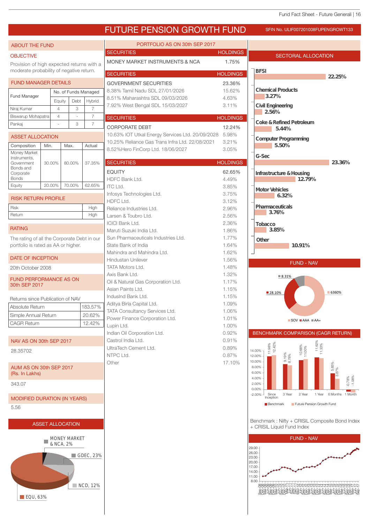

**EQU, 63%**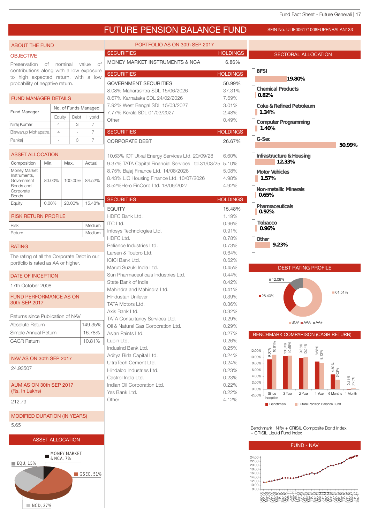| <b>ABOUT THE FUND</b>                                                  |                |                         |                  | PORTFOLIO AS ON 30th SEP 2017                                                                   |                 |                                                                               |
|------------------------------------------------------------------------|----------------|-------------------------|------------------|-------------------------------------------------------------------------------------------------|-----------------|-------------------------------------------------------------------------------|
| <b>OBJECTIVE</b>                                                       |                |                         |                  | <b>SECURITIES</b>                                                                               | <b>HOLDINGS</b> | <b>SECTORAL ALLOCATION</b>                                                    |
| Preservation                                                           | of nominal     |                         | value of         | MONEY MARKET INSTRUMENTS & NCA                                                                  | 6.86%           |                                                                               |
| contributions along with a low exposure                                |                |                         |                  | <b>SECURITIES</b>                                                                               | <b>HOLDINGS</b> | <b>BFSI</b>                                                                   |
| to high expected return, with a low<br>probability of negative return. |                |                         |                  | <b>GOVERNMENT SECURITIES</b>                                                                    | 50.99%          | 1980%                                                                         |
|                                                                        |                |                         |                  | 8.08% Maharashtra SDL 15/06/2026                                                                | 37.31%          | <b>Chemical Products</b>                                                      |
| <b>FUND MANAGER DETAILS</b>                                            |                |                         |                  | 8.67% Karnataka SDL 24/02/2026                                                                  | 7.69%           | 082%                                                                          |
|                                                                        |                | No. of Funds Managed    |                  | 7.92% West Bengal SDL 15/03/2027                                                                | 3.01%           | Coke & Refined Petroleum                                                      |
| Fund Manager                                                           |                |                         |                  | 7.77% Kerala SDL 01/03/2027                                                                     | 2.48%           | 1.34%                                                                         |
|                                                                        |                | Debt<br>Equity          | Hybrid           | Other                                                                                           | 0.49%           | Computer Programming                                                          |
| Niraj Kumar                                                            | $\overline{4}$ | 3                       | $\overline{7}$   | <b>SECURITIES</b>                                                                               |                 | 1.40%                                                                         |
| Biswarup Mohapatra                                                     |                | $\overline{4}$          | $\overline{7}$   |                                                                                                 | <b>HOLDINGS</b> | G-Sec                                                                         |
| Pankaj                                                                 |                | 3                       | $\overline{7}$   | <b>CORPORATE DEBT</b>                                                                           | 26.67%          | 5099%                                                                         |
| <b>ASSET ALLOCATION</b>                                                |                |                         |                  |                                                                                                 |                 |                                                                               |
|                                                                        |                |                         |                  | 10.63% IOT Utkal Energy Services Ltd. 20/09/28                                                  | 6.60%           | Infrastructure&Housing<br>1233%                                               |
| Composition<br>Money Market                                            | Min.           | Max.                    | Actual           | 9.37% TATA Capital Financial Services Ltd.31/03/25 5.10%<br>8.75% Bajaj Finance Ltd. 14/08/2026 | 5.08%           |                                                                               |
| Instruments,                                                           |                |                         |                  | 8.43% LIC Housing Finance Ltd. 10/07/2026                                                       | 4.98%           | Motor Vehicles<br>1.57%                                                       |
| Government<br>Bonds and                                                | 80.00%         | 100.00%                 | 84.52%           | 8.52%Hero FinCorp Ltd. 18/06/2027                                                               | 4.92%           |                                                                               |
| Corporate                                                              |                |                         |                  |                                                                                                 |                 | Non-metallic Mherals                                                          |
| <b>Bonds</b>                                                           |                |                         |                  | <b>SECURITIES</b>                                                                               | <b>HOLDINGS</b> | 065%                                                                          |
| Equity                                                                 | 0.00%          | 20.00%                  | 15.48%           | <b>EQUITY</b>                                                                                   | 15.48%          | Pharmaceuticals                                                               |
| <b>RISK RETURN PROFILE</b>                                             |                |                         |                  | HDFC Bank Ltd.                                                                                  | 1.19%           | 092%                                                                          |
| <b>Risk</b>                                                            |                |                         | Medium           | <b>ITC Ltd.</b>                                                                                 | 0.96%           | Tobacco                                                                       |
| Return                                                                 |                |                         | Medium           | Infosys Technologies Ltd.                                                                       | 0.91%           | 096%                                                                          |
|                                                                        |                |                         |                  | HDFC Ltd.                                                                                       | 0.78%           | Other                                                                         |
| <b>RATING</b>                                                          |                |                         |                  | Reliance Industries Ltd.                                                                        | 0.73%           | 923%                                                                          |
| The rating of all the Corporate Debt in our                            |                |                         |                  | Larsen & Toubro Ltd.                                                                            | 0.64%           |                                                                               |
| portfolio is rated as AA or higher.                                    |                |                         |                  | <b>ICICI Bank Ltd.</b>                                                                          | 0.62%           |                                                                               |
|                                                                        |                |                         |                  | Maruti Suzuki India Ltd.                                                                        | 0.45%           | <b>DEBT RATING PROFILE</b>                                                    |
| <b>DATE OF INCEPTION</b>                                               |                |                         |                  | Sun Pharmaceuticals Industries Ltd.                                                             | $0.44\%$        | ■ 12.09%                                                                      |
| 17th October 2008                                                      |                |                         |                  | State Bank of India<br>Mahindra and Mahindra Ltd.                                               | 0.42%<br>0.41%  |                                                                               |
| <b>FUND PERFORMANCE AS ON</b>                                          |                |                         |                  | Hindustan Unilever                                                                              | 0.39%           | $-61.51%$<br>■26.40%                                                          |
| 30th SEP 2017                                                          |                |                         |                  | TATA Motors Ltd.                                                                                | 0.36%           |                                                                               |
|                                                                        |                |                         |                  | Axis Bank Ltd.                                                                                  | 0.32%           |                                                                               |
| Returns since Publication of NAV                                       |                |                         |                  | TATA Consultancy Services Ltd.                                                                  | 0.29%           |                                                                               |
| Absolute Return                                                        |                |                         | 149.35%          | Oil & Natural Gas Corporation Ltd.                                                              | 0.29%           | $\blacksquare$ SOV $\blacksquare$ AAA $\blacksquare$ AA+                      |
| Simple Annual Return                                                   |                |                         | 16.78%           | Asian Paints Ltd.                                                                               | 0.27%           | BENCHMARK COMPARISON (CAGR RETURN)                                            |
| <b>CAGR Return</b>                                                     |                |                         | 10.81%           | Lupin Ltd.                                                                                      | 0.26%           |                                                                               |
|                                                                        |                |                         |                  | IndusInd Bank Ltd.                                                                              | 0.25%           | 10.81%<br>10.34%<br>10.55%<br>9.85%<br>10.04%<br>12.00%                       |
| NAV AS ON 30th SEP 2017                                                |                |                         |                  | Aditya Birla Capital Ltd.                                                                       | 0.24%           | $8.68\%$<br>$8.13\%$<br>$9.36\%$<br>10.00%                                    |
|                                                                        |                |                         |                  | UltraTech Cement Ltd.                                                                           | 0.24%           | 8.00%                                                                         |
| 24.93507                                                               |                |                         |                  | Hindalco Industries Ltd.                                                                        | 0.23%           | $4.69%$<br>$3.02%$<br>6.00%                                                   |
|                                                                        |                |                         |                  | Castrol India Ltd.                                                                              | 0.23%           | 4.00%<br>2.00%                                                                |
| AUM AS ON 30th SEP 2017<br>(Rs. In Lakhs)                              |                |                         |                  | Indian Oil Corporation Ltd.                                                                     | 0.22%           | 0.00%                                                                         |
|                                                                        |                |                         |                  | Yes Bank Ltd.<br>Other                                                                          | 0.22%<br>4.12%  | Since<br>3 Year<br>2 Year<br>1 Year 6 Months 1 Month<br>$-2.00%$<br>Inception |
| 212.79                                                                 |                |                         |                  |                                                                                                 |                 | Future Pension Balance Fund<br><b>Benchmark</b>                               |
|                                                                        |                |                         |                  |                                                                                                 |                 |                                                                               |
| <b>MODIFIED DURATION (IN YEARS)</b>                                    |                |                         |                  |                                                                                                 |                 |                                                                               |
| 5.65                                                                   |                |                         |                  |                                                                                                 |                 | Benchmark: Nifty + CRISIL Composite Bond Index                                |
|                                                                        |                |                         |                  |                                                                                                 |                 | + CRISIL Liquid Fund Index                                                    |
|                                                                        |                | <b>ASSET ALLOCATION</b> |                  |                                                                                                 |                 | <b>FUND - NAV</b>                                                             |
|                                                                        |                | MONEY MARKET            |                  |                                                                                                 |                 |                                                                               |
|                                                                        |                | & NCA, 7%               |                  |                                                                                                 |                 | 24.00<br>22.00                                                                |
|                                                                        |                |                         |                  |                                                                                                 |                 |                                                                               |
| $\blacksquare$ EQU, 15%                                                |                |                         |                  |                                                                                                 |                 | 20.00                                                                         |
|                                                                        |                |                         | $\Box$ GSEC, 51% |                                                                                                 |                 | 18.00<br>16.00<br>14.00                                                       |

NCD, 27%

Sep-08 Dec-08 Mar-09 Jun-09 Sep-09 Dec-09 Mar-10 Jun-10 Sep-10 Dec-10 Mar-11 Jun-11 Sep-11 Dec-11 Mar-12 Jun-12 Sep-12 Dec-12 Mar-13 Jun-13 Sep-13 Dec-13 Mar-14 Jun-14 Sep-14 Dec-14 Mar-15 Jun-15 Sep-15 Dec-15 Mar-16 Jun-16 Sep-16 Dec-16 Mar-17 Jun-17 Sep-17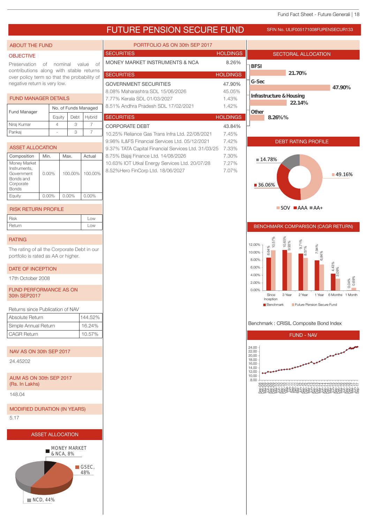## FUTURE PENSION SECURE FUND SFIN NO. ULIF005171008FUPENSECUR133

#### ABOUT THE FUND

#### **OBJECTIVE**

Preservation of nominal value of contributions along with stable returns over policy term so that the probability of negative return is very low.

#### FUND MANAGER DETAILS

| <b>Fund Manager</b> | No. of Funds Managed |      |        |    |  |
|---------------------|----------------------|------|--------|----|--|
|                     | Eauity               | Debt | Hybrid | Š, |  |
| Niraj Kumar         |                      |      |        |    |  |
| Pankaj              |                      |      |        |    |  |

| <b>ASSET ALLOCATION</b>                                                              |          |         |         |  |
|--------------------------------------------------------------------------------------|----------|---------|---------|--|
| Composition                                                                          | Min.     | Max.    | Actual  |  |
| Money Market<br>Instruments.<br>Government<br>Bonds and<br>Corporate<br><b>Bonds</b> | $0.00\%$ | 100.00% | 100.00% |  |
| Equity                                                                               | $0.00\%$ | 0.00%   | 0.00%   |  |

#### RISK RETURN PROFILE

| <b>Risk</b> | LOW |
|-------------|-----|
| Return      | LOW |

### RATING

The rating of all the Corporate Debt in our portfolio is rated as AA or higher.

#### DATE OF INCEPTION

17th October 2008

#### FUND PERFORMANCE AS ON 30th SEP2017

| Returns since Publication of NAV |         |
|----------------------------------|---------|
| Absolute Return                  | 144.52% |
| Simple Annual Return             | 16.24%  |
| <b>CAGR Return</b>               | 10.57%  |
|                                  |         |

#### NAV AS ON 30th SEP 2017

24.45202

AUM AS ON 30th SEP 2017 (Rs. In Lakhs)

148.04

```
MODIFIED DURATION (IN YEARS)
```
5.17





| PORTFOLIO AS ON 30th SEP 2017                                                                     |                 |                                                                  |
|---------------------------------------------------------------------------------------------------|-----------------|------------------------------------------------------------------|
| <b>SECURITIES</b>                                                                                 | <b>HOLDINGS</b> | SECTORAL ALLOCATION                                              |
| MONEY MARKET INSTRUMENTS & NCA                                                                    | 8.26%           | <b>BFSI</b>                                                      |
| <b>SECURITIES</b>                                                                                 | <b>HOLDINGS</b> | 21.70%                                                           |
| <b>GOVERNMENT SECURITIES</b>                                                                      | 47.90%          | G-Sec                                                            |
| 8.08% Maharashtra SDL 15/06/2026                                                                  | 45.05%          | 47.90%                                                           |
| 7.77% Kerala SDL 01/03/2027                                                                       | 1.43%           | Infrastructure&Housing<br>2214%                                  |
| 8.51% Andhra Pradesh SDL 17/02/2021                                                               | 1.42%           | Other                                                            |
| <b>SECURITIES</b>                                                                                 | <b>HOLDINGS</b> | 826%%                                                            |
| <b>CORPORATE DEBT</b>                                                                             | 43.84%          |                                                                  |
| 10.25% Reliance Gas Trans Infra Ltd. 22/08/2021<br>9.98% IL&FS Financial Services Ltd. 05/12/2021 | 7.45%<br>7.42%  | <b>DEBT RATING PROFILE</b>                                       |
| 9.37% TATA Capital Financial Services Ltd. 31/03/25                                               | 7.33%           |                                                                  |
| 8.75% Bajaj Finance Ltd. 14/08/2026                                                               | 7.30%           | ■ 14.78%                                                         |
| 10.63% IOT Utkal Energy Services Ltd. 20/07/28<br>8.52%Hero FinCorp Ltd. 18/06/2027               | 7.27%<br>7.07%  |                                                                  |
|                                                                                                   |                 | ■49.16%                                                          |
|                                                                                                   |                 | ■ 36.06%                                                         |
|                                                                                                   |                 |                                                                  |
|                                                                                                   |                 | $\blacksquare$ SOV $\blacksquare$ AAA $\blacksquare$ AA+         |
|                                                                                                   |                 |                                                                  |
|                                                                                                   |                 | BENCHMARK COMPARISON (CAGR RETURN)                               |
|                                                                                                   |                 |                                                                  |
|                                                                                                   |                 | 10.65%<br>9.93%<br>10.57%<br>9.71%<br>12.00%<br>.64%<br>8.57%    |
|                                                                                                   |                 | $6.84\%$<br>10.00%<br>œ<br>8.00%                                 |
|                                                                                                   |                 | 4.43%<br>3.09%<br>6.00%                                          |
|                                                                                                   |                 | 4.00%                                                            |
|                                                                                                   |                 | 0.04%<br>0.69%<br>2.00%                                          |
|                                                                                                   |                 | 0.00%<br>Since<br>3 Year<br>2 Year<br>6 Months 1 Month<br>1 Year |
|                                                                                                   |                 | Inception<br>Benchmark<br>Future Pension Secure Fund             |
|                                                                                                   |                 |                                                                  |
|                                                                                                   |                 | Benchmark: CRISIL Composite Bond Index                           |
|                                                                                                   |                 | <b>FUND - NAV</b>                                                |
|                                                                                                   |                 | 24.00<br>22.00                                                   |
|                                                                                                   |                 | 20.00<br>18.00<br>16.00<br>14.00<br>12.00                        |

8.00 10.00

Sep-08 Dec-08 Mar-09 Jun-09 Sep-09 Dec-09 Mar-10 Jun-10 Sep-10 Dec-10 Mar-11 Jun-11 Sep-11 Dec-11 Mar-12 Jun-12 Sep-12 Dec-12 Mar-13 Jun-13 Sep-13 Dec-13 Mar-14 Jun-14 Sep-14 Dec-14 Mar-15 Jun-15 Sep-15 Dec-15 Mar-16 Jun-16 Sep-16 Dec-16 Mar-17 Jun-17 Sep-17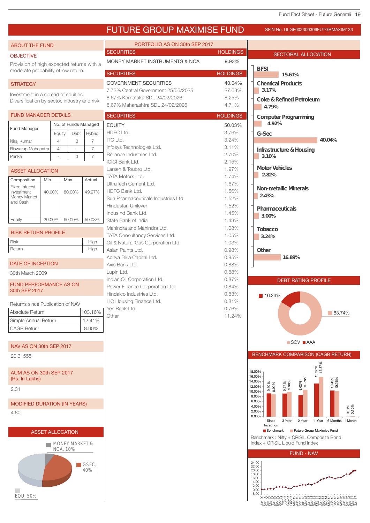|                                                |                         |                |                           |                             | <b>FUTURE GROUP MAXIMISE FUND</b>                  |                 | SFIN No. ULGF002300309FUTGRMAXIM133                                                                          |
|------------------------------------------------|-------------------------|----------------|---------------------------|-----------------------------|----------------------------------------------------|-----------------|--------------------------------------------------------------------------------------------------------------|
| <b>ABOUT THE FUND</b>                          |                         |                |                           |                             | PORTFOLIO AS ON 30th SEP 2017                      |                 |                                                                                                              |
| <b>OBJECTIVE</b>                               |                         |                |                           |                             | <b>SECURITIES</b>                                  | <b>HOLDINGS</b> | <b>SECTORAL ALLOCATION</b>                                                                                   |
| Provision of high expected returns with a      |                         |                |                           |                             | MONEY MARKET INSTRUMENTS & NCA                     | 9.93%           |                                                                                                              |
| moderate probability of low return.            |                         |                |                           |                             | <b>SECURITIES</b>                                  | <b>HOLDINGS</b> | <b>BFSI</b>                                                                                                  |
|                                                |                         |                |                           |                             | <b>GOVERNMENT SECURITIES</b>                       | 40.04%          | 1561%                                                                                                        |
| <b>STRATEGY</b>                                |                         |                |                           |                             | 7.72% Central Government 25/05/2025                | 27.08%          | <b>Chemical Products</b><br>317%                                                                             |
| Investment in a spread of equities.            |                         |                |                           |                             | 8.67% Karnataka SDL 24/02/2026                     | 8.25%           | Coke & Refined Petroleum                                                                                     |
| Diversification by sector, industry and risk.  |                         |                |                           |                             | 8.67% Maharashtra SDL 24/02/2026                   | 4.71%           | 479%                                                                                                         |
| <b>FUND MANAGER DETAILS</b>                    |                         |                |                           |                             | <b>SECURITIES</b>                                  | <b>HOLDINGS</b> | Computer Programming                                                                                         |
|                                                |                         |                | No. of Funds Managed      |                             | <b>EQUITY</b>                                      | 50.03%          | 492%                                                                                                         |
| Fund Manager                                   |                         | Equity         | Debt                      | Hybrid                      | HDFC Ltd.                                          | 3.76%           | G-Sec                                                                                                        |
| Niraj Kumar                                    |                         | $\overline{4}$ | 3                         | $\overline{7}$              | ITC Ltd.                                           | 3.24%           | 4004%                                                                                                        |
| Biswarup Mohapatra                             |                         | $\overline{4}$ | $\sim$                    | $\overline{7}$              | Infosys Technologies Ltd.                          | 3.11%           | Infrastructure&Housing                                                                                       |
| Pankaj                                         |                         |                | 3                         | $\overline{7}$              | Reliance Industries Ltd.<br><b>ICICI Bank Ltd.</b> | 2.70%<br>2.15%  | 310%                                                                                                         |
| <b>ASSET ALLOCATION</b>                        |                         |                |                           |                             | Larsen & Toubro Ltd.                               | 1.97%           | Motor Vehicles                                                                                               |
|                                                |                         |                |                           |                             | <b>TATA Motors Ltd.</b>                            | 1.74%           | 282%                                                                                                         |
| Composition<br><b>Fixed Interest</b>           | Min.                    |                | Max.                      | Actual                      | UltraTech Cement Ltd.                              | 1.67%           |                                                                                                              |
| Investment                                     | 40.00%                  |                | 80.00%                    | 49.97%                      | HDFC Bank Ltd.                                     | 1.56%           | Non-metallic Mherals<br>243%                                                                                 |
| Money Market<br>and Cash                       |                         |                |                           |                             | Sun Pharmaceuticals Industries Ltd.                | 1.52%           |                                                                                                              |
|                                                |                         |                |                           |                             | <b>Hindustan Unilever</b>                          | 1.52%           | Pharmaceuticals                                                                                              |
| Equity                                         | 20.00%                  |                | 60.00%                    | 50.03%                      | IndusInd Bank Ltd.<br>State Bank of India          | 1.45%<br>1.43%  | 300%                                                                                                         |
|                                                |                         |                |                           |                             | Mahindra and Mahindra Ltd.                         | 1.08%           | Tobacco                                                                                                      |
| <b>RISK RETURN PROFILE</b>                     |                         |                |                           |                             | TATA Consultancy Services Ltd.                     | 1.05%           | 324%                                                                                                         |
| <b>Risk</b>                                    |                         |                |                           | High                        | Oil & Natural Gas Corporation Ltd.                 | 1.03%           |                                                                                                              |
| Return                                         |                         |                |                           | High                        | Asian Paints Ltd.                                  | 0.98%           | Other                                                                                                        |
| <b>DATE OF INCEPTION</b>                       |                         |                |                           |                             | Aditya Birla Capital Ltd.<br>Axis Bank Ltd.        | 0.95%<br>0.88%  | 1689%                                                                                                        |
| 30th March 2009                                |                         |                |                           |                             | Lupin Ltd.                                         | 0.88%           |                                                                                                              |
|                                                |                         |                |                           |                             | Indian Oil Corporation Ltd.                        | 0.87%           | <b>DEBT RATING PROFILE</b>                                                                                   |
| <b>FUND PERFORMANCE AS ON</b><br>30th SEP 2017 |                         |                |                           |                             | Power Finance Corporation Ltd.                     | 0.84%           |                                                                                                              |
|                                                |                         |                |                           |                             | Hindalco Industries Ltd.                           | 0.83%           | 16.26%                                                                                                       |
| Returns since Publication of NAV               |                         |                |                           |                             | LIC Housing Finance Ltd.                           | 0.81%           |                                                                                                              |
| Absolute Return                                |                         |                |                           | 103.16%                     | Yes Bank Ltd.<br>Other                             | 0.76%<br>11.24% | 83.74%                                                                                                       |
| Simple Annual Return                           |                         |                |                           | 12.41%                      |                                                    |                 |                                                                                                              |
| <b>CAGR Return</b>                             |                         |                |                           | 8.90%                       |                                                    |                 |                                                                                                              |
|                                                |                         |                |                           |                             |                                                    |                 | ■ SOV ■ AAA                                                                                                  |
| NAV AS ON 30th SEP 2017                        |                         |                |                           |                             |                                                    |                 |                                                                                                              |
| 20.31555                                       |                         |                |                           |                             |                                                    |                 | BENCHMARK COMPARISON (CAGR RETURN)                                                                           |
| AUM AS ON 30th SEP 2017                        |                         |                |                           |                             |                                                    |                 | 13.28%<br>15.87%<br>18.00%<br>16.00%                                                                         |
| (Rs. In Lakhs)<br>2.31                         |                         |                |                           |                             |                                                    |                 | 8.62%<br>10.78%<br>10.45%<br>10.26%<br>14.00%<br>9.27%<br>9.88%<br>9.30%<br>8.99%<br>12.00%<br>10.00%        |
|                                                |                         |                |                           |                             |                                                    |                 | 8.00%<br>6.00%                                                                                               |
| <b>MODIFIED DURATION (IN YEARS)</b>            |                         |                |                           |                             |                                                    |                 | 0.01%<br>0.10%<br>4.00%                                                                                      |
| 4.80                                           |                         |                |                           |                             |                                                    |                 | 2.00%<br>0.00%                                                                                               |
|                                                |                         |                |                           |                             |                                                    |                 | 2 Year<br>1 Year 6 Months 1 Month<br>Since<br>3 Year<br>Inception<br>Future Group Maximise Fund<br>Benchmark |
|                                                | <b>ASSET ALLOCATION</b> |                | <b>MONEY MARKET &amp;</b> |                             |                                                    |                 | Benchmark: Nifty + CRISIL Composite Bond<br>Index + CRISIL Liquid Fund Index                                 |
| <b>NCA, 10%</b>                                |                         |                |                           |                             |                                                    |                 | <b>FUND - NAV</b>                                                                                            |
|                                                |                         |                |                           | $\blacksquare$ GSEC,<br>40% |                                                    |                 | 24.00<br>22.00<br>20.00<br>18.00<br>16.00<br>14.00<br>12.00                                                  |
| EQU, 50%                                       |                         |                |                           |                             |                                                    |                 | 10.00<br>8.00                                                                                                |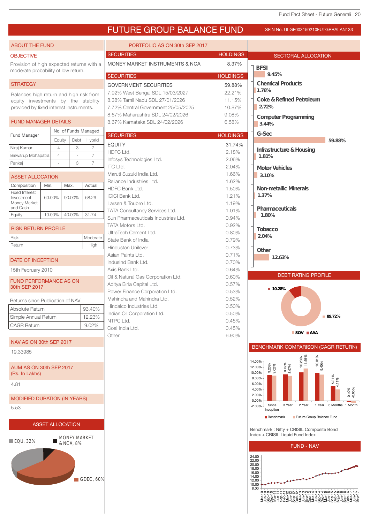

<del>C</del>COCFFFFC የሚያደምም የተጀመረው የሚያደምም የተጀመረው የተጀመረው<br>"The Solid Face" የሚያደምም የተጀመረው የተጀመረው<br>Mar-18 September 2008 5808 5808 5808 580<br>Mar-18 September 2008 5808 5808 5908 590